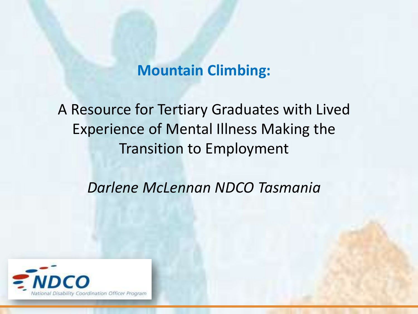# **Mountain Climbing:**

A Resource for Tertiary Graduates with Lived Experience of Mental Illness Making the Transition to Employment

*Darlene McLennan NDCO Tasmania*

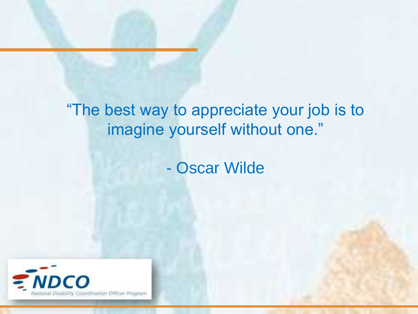# "The best way to appreciate your job is to imagine yourself without one."

- Oscar Wilde

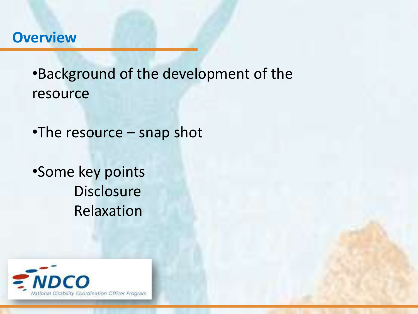### **Overview**

•Background of the development of the resource

•The resource – snap shot

•Some key points **Disclosure** Relaxation

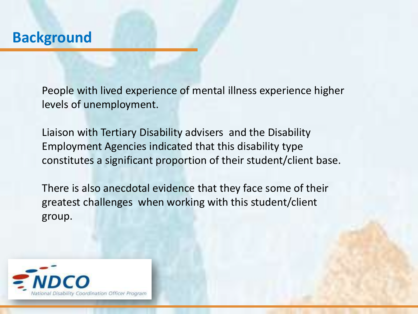People with lived experience of mental illness experience higher levels of unemployment.

Liaison with Tertiary Disability advisers and the Disability Employment Agencies indicated that this disability type constitutes a significant proportion of their student/client base.

There is also anecdotal evidence that they face some of their greatest challenges when working with this student/client group.

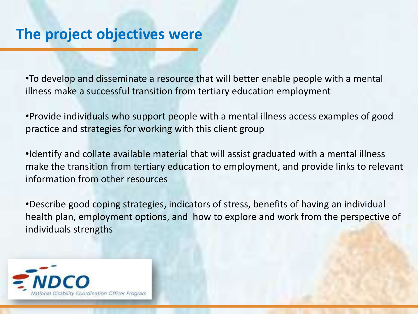•To develop and disseminate a resource that will better enable people with a mental illness make a successful transition from tertiary education employment

•Provide individuals who support people with a mental illness access examples of good practice and strategies for working with this client group

•Identify and collate available material that will assist graduated with a mental illness make the transition from tertiary education to employment, and provide links to relevant information from other resources

•Describe good coping strategies, indicators of stress, benefits of having an individual health plan, employment options, and how to explore and work from the perspective of individuals strengths

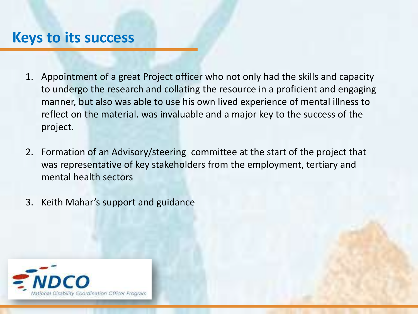### **Keys to its success**

- 1. Appointment of a great Project officer who not only had the skills and capacity to undergo the research and collating the resource in a proficient and engaging manner, but also was able to use his own lived experience of mental illness to reflect on the material. was invaluable and a major key to the success of the project.
- 2. Formation of an Advisory/steering committee at the start of the project that was representative of key stakeholders from the employment, tertiary and mental health sectors
- 3. Keith Mahar's support and guidance

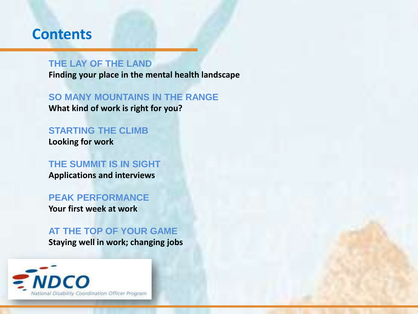### **Contents**

### **THE LAY OF THE LAND**

**Finding your place in the mental health landscape**

**SO MANY MOUNTAINS IN THE RANGE What kind of work is right for you?**

**STARTING THE CLIMB Looking for work**

**THE SUMMIT IS IN SIGHT Applications and interviews**

### **PEAK PERFORMANCE**

**Your first week at work**

**AT THE TOP OF YOUR GAME Staying well in work; changing jobs**

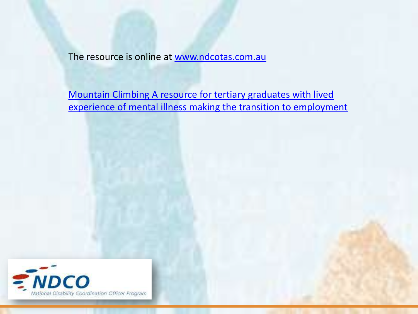The resource is online at [www.ndcotas.com.au](http://www.ndcotas.com.au/)

[Mountain Climbing A resource for tertiary graduates with lived](http://issuu.com/ndcotas/docs/ugro3542_mental_health_booklet_electronic?mode=embed&layout=http://skin.issuu.com/v/light/layout.xml&showFlipBtn=true)  [experience of mental illness making the transition to employment](http://issuu.com/ndcotas/docs/ugro3542_mental_health_booklet_electronic?mode=embed&layout=http://skin.issuu.com/v/light/layout.xml&showFlipBtn=true)

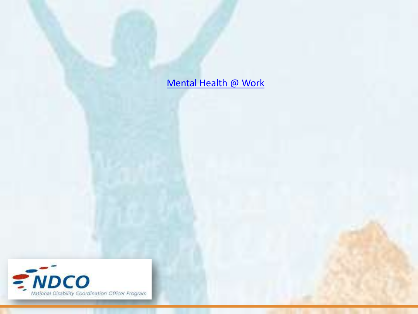[Mental Health @ Work](http://www.youtube.com/watch?v=_CeBymhd6zI)

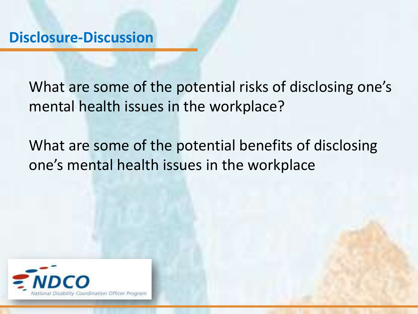What are some of the potential risks of disclosing one's mental health issues in the workplace?

What are some of the potential benefits of disclosing one's mental health issues in the workplace

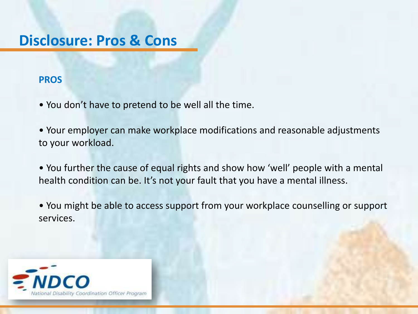# **Disclosure: Pros & Cons**

### **PROS**

- You don't have to pretend to be well all the time.
- Your employer can make workplace modifications and reasonable adjustments to your workload.
- You further the cause of equal rights and show how 'well' people with a mental health condition can be. It's not your fault that you have a mental illness.
- You might be able to access support from your workplace counselling or support services.

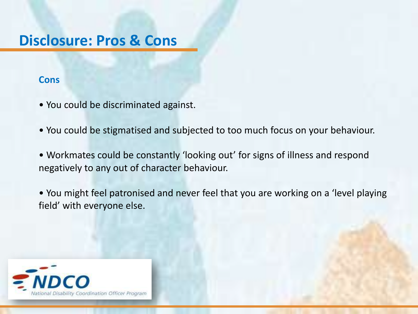# **Disclosure: Pros & Cons**

#### **Cons**

- You could be discriminated against.
- You could be stigmatised and subjected to too much focus on your behaviour.
- Workmates could be constantly 'looking out' for signs of illness and respond negatively to any out of character behaviour.
- You might feel patronised and never feel that you are working on a 'level playing field' with everyone else.

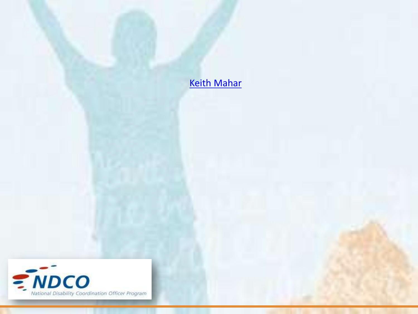**[Keith Mahar](http://www.youtube.com/watch?v=_CeBymhd6zI&t=3m29s)** 

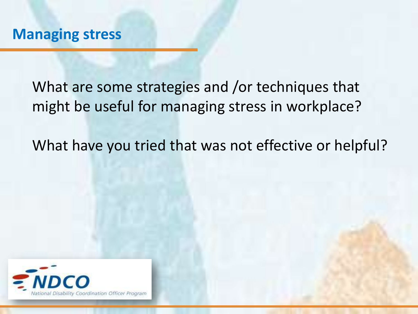What are some strategies and /or techniques that might be useful for managing stress in workplace?

What have you tried that was not effective or helpful?